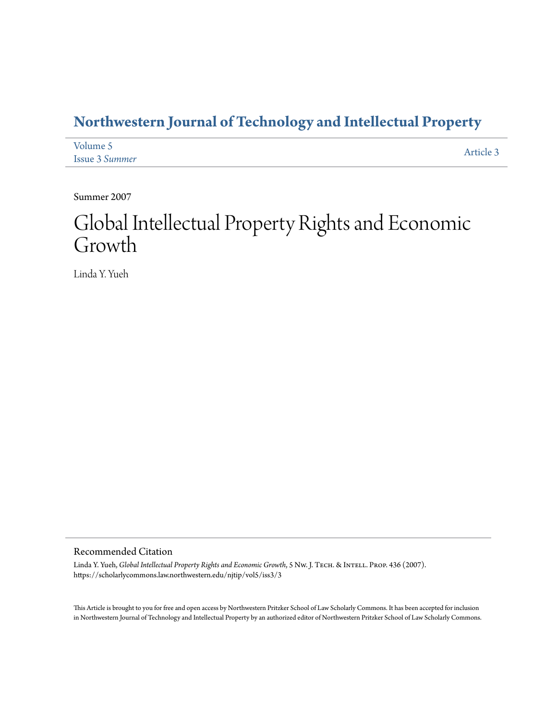### **[Northwestern Journal of Technology and Intellectual Property](https://scholarlycommons.law.northwestern.edu/njtip)**

| Volume 5              |           |
|-----------------------|-----------|
| <b>Issue 3 Summer</b> | Article 3 |

Summer 2007

# Global Intellectual Property Rights and Economic Growth

Linda Y. Yueh

#### Recommended Citation

Linda Y. Yueh, *Global Intellectual Property Rights and Economic Growth*, 5 Nw. J. TECH. & INTELL. PROP. 436 (2007). https://scholarlycommons.law.northwestern.edu/njtip/vol5/iss3/3

This Article is brought to you for free and open access by Northwestern Pritzker School of Law Scholarly Commons. It has been accepted for inclusion in Northwestern Journal of Technology and Intellectual Property by an authorized editor of Northwestern Pritzker School of Law Scholarly Commons.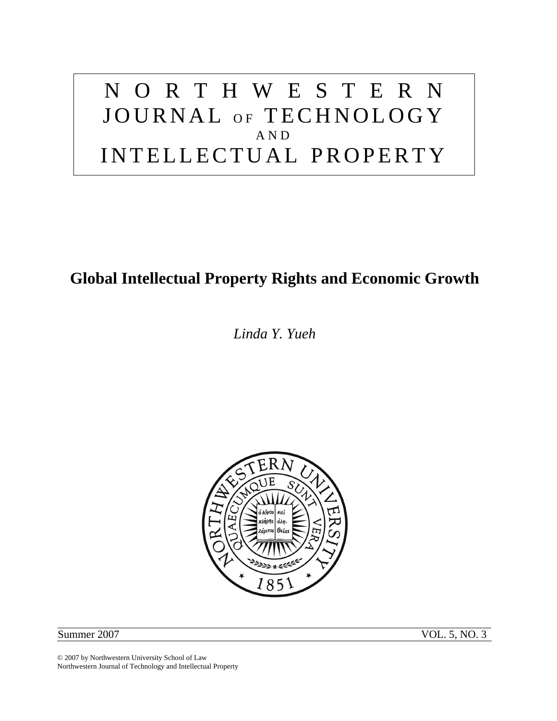# NORTHWESTERN JOURNAL OF TECHNOLOGY AND INTELLECTUAL PROPERTY

### **Global Intellectual Property Rights and Economic Growth**

*Linda Y. Yueh* 



Summer 2007 VOL. 5, NO. 3

© 2007 by Northwestern University School of Law Northwestern Journal of Technology and Intellectual Property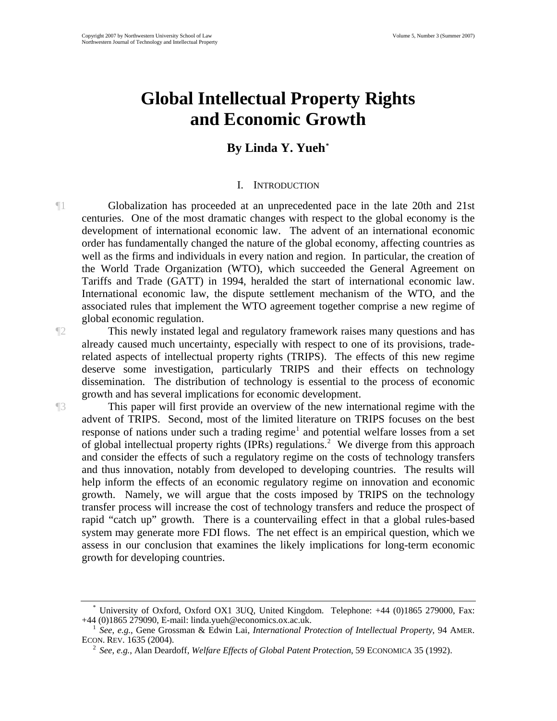## **Global Intellectual Property Rights and Economic Growth**

### **By Linda Y. Yueh[\\*](#page-2-0)**

#### I. INTRODUCTION

¶1 Globalization has proceeded at an unprecedented pace in the late 20th and 21st centuries. One of the most dramatic changes with respect to the global economy is the development of international economic law. The advent of an international economic order has fundamentally changed the nature of the global economy, affecting countries as well as the firms and individuals in every nation and region. In particular, the creation of the World Trade Organization (WTO), which succeeded the General Agreement on Tariffs and Trade (GATT) in 1994, heralded the start of international economic law. International economic law, the dispute settlement mechanism of the WTO, and the associated rules that implement the WTO agreement together comprise a new regime of global economic regulation.

¶2 This newly instated legal and regulatory framework raises many questions and has already caused much uncertainty, especially with respect to one of its provisions, traderelated aspects of intellectual property rights (TRIPS). The effects of this new regime deserve some investigation, particularly TRIPS and their effects on technology dissemination. The distribution of technology is essential to the process of economic growth and has several implications for economic development.

¶3 This paper will first provide an overview of the new international regime with the advent of TRIPS. Second, most of the limited literature on TRIPS focuses on the best response of nations under such a trading regime<sup>[1](#page-2-1)</sup> and potential welfare losses from a set of global intellectual property rights (IPRs) regulations.<sup>[2](#page-2-2)</sup> We diverge from this approach and consider the effects of such a regulatory regime on the costs of technology transfers and thus innovation, notably from developed to developing countries. The results will help inform the effects of an economic regulatory regime on innovation and economic growth. Namely, we will argue that the costs imposed by TRIPS on the technology transfer process will increase the cost of technology transfers and reduce the prospect of rapid "catch up" growth. There is a countervailing effect in that a global rules-based system may generate more FDI flows. The net effect is an empirical question, which we assess in our conclusion that examines the likely implications for long-term economic growth for developing countries.

<span id="page-2-0"></span><sup>\*</sup> University of Oxford, Oxford OX1 3UQ, United Kingdom. Telephone: +44 (0)1865 279000, Fax: +44 (0)1865 279090, E-mail: linda.yueh@economics.ox.ac.uk. 1

<span id="page-2-2"></span><span id="page-2-1"></span><sup>&</sup>lt;sup>1</sup> See, e.g., Gene Grossman & Edwin Lai, *International Protection of Intellectual Property*, 94 AMER. ECON. REV. 1635 (2004).

<sup>&</sup>lt;sup>2</sup> *See*, *e.g.*, Alan Deardoff, *Welfare Effects of Global Patent Protection*, 59 ECONOMICA 35 (1992).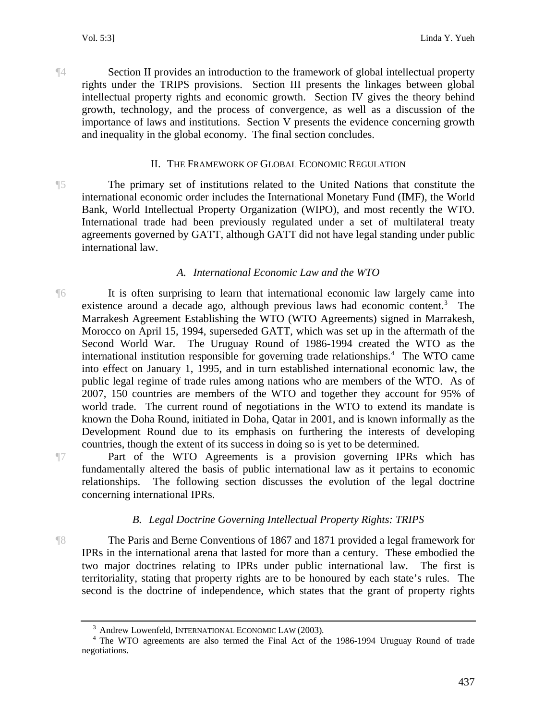¶4 Section II provides an introduction to the framework of global intellectual property rights under the TRIPS provisions. Section III presents the linkages between global intellectual property rights and economic growth. Section IV gives the theory behind growth, technology, and the process of convergence, as well as a discussion of the importance of laws and institutions. Section V presents the evidence concerning growth and inequality in the global economy. The final section concludes.

#### II. THE FRAMEWORK OF GLOBAL ECONOMIC REGULATION

¶5 The primary set of institutions related to the United Nations that constitute the international economic order includes the International Monetary Fund (IMF), the World Bank, World Intellectual Property Organization (WIPO), and most recently the WTO. International trade had been previously regulated under a set of multilateral treaty agreements governed by GATT, although GATT did not have legal standing under public international law.

#### *A. International Economic Law and the WTO*

¶6 It is often surprising to learn that international economic law largely came into existence around a decade ago, although previous laws had economic content.<sup>[3](#page-3-0)</sup> The Marrakesh Agreement Establishing the WTO (WTO Agreements) signed in Marrakesh, Morocco on April 15, 1994, superseded GATT, which was set up in the aftermath of the Second World War. The Uruguay Round of 1986-1994 created the WTO as the international institution responsible for governing trade relationships.<sup>[4](#page-3-1)</sup> The WTO came into effect on January 1, 1995, and in turn established international economic law, the public legal regime of trade rules among nations who are members of the WTO. As of 2007, 150 countries are members of the WTO and together they account for 95% of world trade. The current round of negotiations in the WTO to extend its mandate is known the Doha Round, initiated in Doha, Qatar in 2001, and is known informally as the Development Round due to its emphasis on furthering the interests of developing countries, though the extent of its success in doing so is yet to be determined.

¶7 Part of the WTO Agreements is a provision governing IPRs which has fundamentally altered the basis of public international law as it pertains to economic relationships. The following section discusses the evolution of the legal doctrine concerning international IPRs.

#### *B. Legal Doctrine Governing Intellectual Property Rights: TRIPS*

¶8 The Paris and Berne Conventions of 1867 and 1871 provided a legal framework for IPRs in the international arena that lasted for more than a century. These embodied the two major doctrines relating to IPRs under public international law. The first is territoriality, stating that property rights are to be honoured by each state's rules. The second is the doctrine of independence, which states that the grant of property rights

<sup>&</sup>lt;sup>3</sup> Andrew Lowenfeld, INTERNATIONAL ECONOMIC LAW (2003).

<span id="page-3-1"></span><span id="page-3-0"></span><sup>&</sup>lt;sup>4</sup> The WTO agreements are also termed the Final Act of the 1986-1994 Uruguay Round of trade negotiations.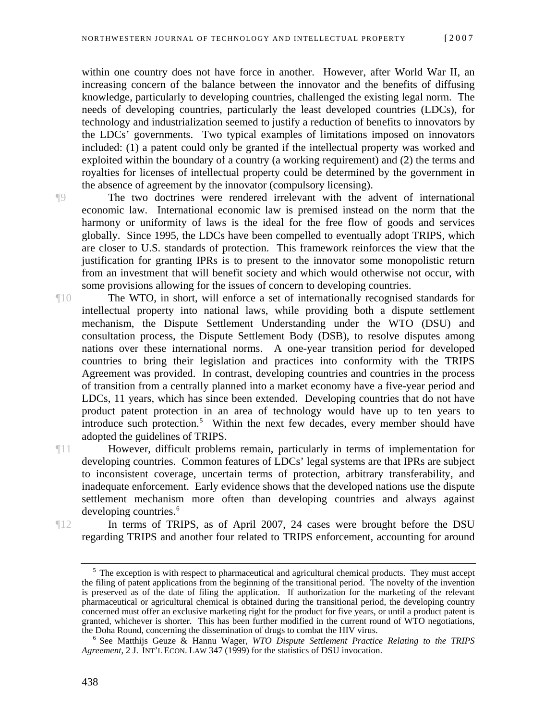within one country does not have force in another. However, after World War II, an increasing concern of the balance between the innovator and the benefits of diffusing knowledge, particularly to developing countries, challenged the existing legal norm. The needs of developing countries, particularly the least developed countries (LDCs), for technology and industrialization seemed to justify a reduction of benefits to innovators by the LDCs' governments. Two typical examples of limitations imposed on innovators included: (1) a patent could only be granted if the intellectual property was worked and exploited within the boundary of a country (a working requirement) and (2) the terms and royalties for licenses of intellectual property could be determined by the government in the absence of agreement by the innovator (compulsory licensing).

- ¶9 The two doctrines were rendered irrelevant with the advent of international economic law. International economic law is premised instead on the norm that the harmony or uniformity of laws is the ideal for the free flow of goods and services globally. Since 1995, the LDCs have been compelled to eventually adopt TRIPS, which are closer to U.S. standards of protection. This framework reinforces the view that the justification for granting IPRs is to present to the innovator some monopolistic return from an investment that will benefit society and which would otherwise not occur, with some provisions allowing for the issues of concern to developing countries.
- ¶10 The WTO, in short, will enforce a set of internationally recognised standards for intellectual property into national laws, while providing both a dispute settlement mechanism, the Dispute Settlement Understanding under the WTO (DSU) and consultation process, the Dispute Settlement Body (DSB), to resolve disputes among nations over these international norms. A one-year transition period for developed countries to bring their legislation and practices into conformity with the TRIPS Agreement was provided. In contrast, developing countries and countries in the process of transition from a centrally planned into a market economy have a five-year period and LDCs, 11 years, which has since been extended. Developing countries that do not have product patent protection in an area of technology would have up to ten years to introduce such protection.<sup>[5](#page-4-0)</sup> Within the next few decades, every member should have adopted the guidelines of TRIPS.
- ¶11 However, difficult problems remain, particularly in terms of implementation for developing countries. Common features of LDCs' legal systems are that IPRs are subject to inconsistent coverage, uncertain terms of protection, arbitrary transferability, and inadequate enforcement. Early evidence shows that the developed nations use the dispute settlement mechanism more often than developing countries and always against developing countries. [6](#page-4-1)

<span id="page-4-0"></span>

¶12 In terms of TRIPS, as of April 2007, 24 cases were brought before the DSU regarding TRIPS and another four related to TRIPS enforcement, accounting for around

<sup>&</sup>lt;sup>5</sup> The exception is with respect to pharmaceutical and agricultural chemical products. They must accept the filing of patent applications from the beginning of the transitional period. The novelty of the invention is preserved as of the date of filing the application. If authorization for the marketing of the relevant pharmaceutical or agricultural chemical is obtained during the transitional period, the developing country concerned must offer an exclusive marketing right for the product for five years, or until a product patent is granted, whichever is shorter. This has been further modified in the current round of WTO negotiations, the Doha Round, concerning the dissemination of drugs to combat the HIV virus. <sup>6</sup>

<span id="page-4-1"></span>See Matthijs Geuze & Hannu Wager, *WTO Dispute Settlement Practice Relating to the TRIPS Agreement*, 2 J. INT'L ECON. LAW 347 (1999) for the statistics of DSU invocation.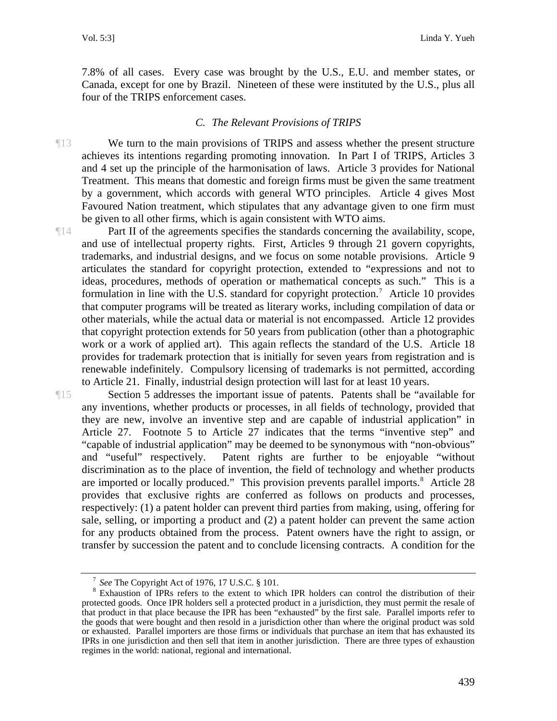7.8% of all cases. Every case was brought by the U.S., E.U. and member states, or Canada, except for one by Brazil. Nineteen of these were instituted by the U.S., plus all four of the TRIPS enforcement cases.

#### *C. The Relevant Provisions of TRIPS*

¶13 We turn to the main provisions of TRIPS and assess whether the present structure achieves its intentions regarding promoting innovation. In Part I of TRIPS, Articles 3 and 4 set up the principle of the harmonisation of laws. Article 3 provides for National Treatment. This means that domestic and foreign firms must be given the same treatment by a government, which accords with general WTO principles. Article 4 gives Most Favoured Nation treatment, which stipulates that any advantage given to one firm must be given to all other firms, which is again consistent with WTO aims.

¶14 Part II of the agreements specifies the standards concerning the availability, scope, and use of intellectual property rights. First, Articles 9 through 21 govern copyrights, trademarks, and industrial designs, and we focus on some notable provisions. Article 9 articulates the standard for copyright protection, extended to "expressions and not to ideas, procedures, methods of operation or mathematical concepts as such." This is a formulation in line with the U.S. standard for copyright protection.<sup>[7](#page-5-0)</sup> Article 10 provides that computer programs will be treated as literary works, including compilation of data or other materials, while the actual data or material is not encompassed. Article 12 provides that copyright protection extends for 50 years from publication (other than a photographic work or a work of applied art). This again reflects the standard of the U.S. Article 18 provides for trademark protection that is initially for seven years from registration and is renewable indefinitely. Compulsory licensing of trademarks is not permitted, according to Article 21. Finally, industrial design protection will last for at least 10 years.

¶15 Section 5 addresses the important issue of patents. Patents shall be "available for any inventions, whether products or processes, in all fields of technology, provided that they are new, involve an inventive step and are capable of industrial application" in Article 27. Footnote 5 to Article 27 indicates that the terms "inventive step" and "capable of industrial application" may be deemed to be synonymous with "non-obvious" and "useful" respectively. Patent rights are further to be enjoyable "without discrimination as to the place of invention, the field of technology and whether products are imported or locally produced." This provision prevents parallel imports.<sup>[8](#page-5-1)</sup> Article 28 provides that exclusive rights are conferred as follows on products and processes, respectively: (1) a patent holder can prevent third parties from making, using, offering for sale, selling, or importing a product and (2) a patent holder can prevent the same action for any products obtained from the process. Patent owners have the right to assign, or transfer by succession the patent and to conclude licensing contracts. A condition for the

<sup>&</sup>lt;sup>7</sup> *See* The Copyright Act of 1976, 17 U.S.C. § 101.

<span id="page-5-1"></span><span id="page-5-0"></span><sup>&</sup>lt;sup>8</sup> Exhaustion of IPRs refers to the extent to which IPR holders can control the distribution of their protected goods. Once IPR holders sell a protected product in a jurisdiction, they must permit the resale of that product in that place because the IPR has been "exhausted" by the first sale. Parallel imports refer to the goods that were bought and then resold in a jurisdiction other than where the original product was sold or exhausted. Parallel importers are those firms or individuals that purchase an item that has exhausted its IPRs in one jurisdiction and then sell that item in another jurisdiction. There are three types of exhaustion regimes in the world: national, regional and international.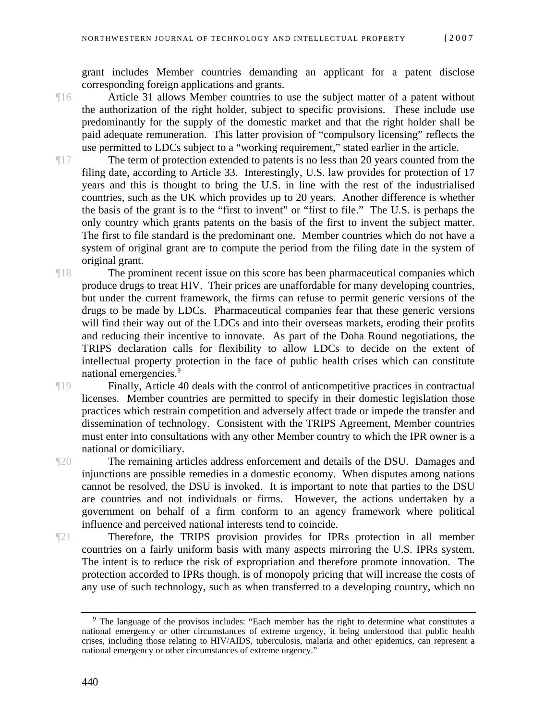grant includes Member countries demanding an applicant for a patent disclose corresponding foreign applications and grants.

¶16 Article 31 allows Member countries to use the subject matter of a patent without the authorization of the right holder, subject to specific provisions. These include use predominantly for the supply of the domestic market and that the right holder shall be paid adequate remuneration. This latter provision of "compulsory licensing" reflects the use permitted to LDCs subject to a "working requirement," stated earlier in the article.

¶17 The term of protection extended to patents is no less than 20 years counted from the filing date, according to Article 33. Interestingly, U.S. law provides for protection of 17 years and this is thought to bring the U.S. in line with the rest of the industrialised countries, such as the UK which provides up to 20 years. Another difference is whether the basis of the grant is to the "first to invent" or "first to file." The U.S. is perhaps the only country which grants patents on the basis of the first to invent the subject matter. The first to file standard is the predominant one. Member countries which do not have a system of original grant are to compute the period from the filing date in the system of original grant.

¶18 The prominent recent issue on this score has been pharmaceutical companies which produce drugs to treat HIV. Their prices are unaffordable for many developing countries, but under the current framework, the firms can refuse to permit generic versions of the drugs to be made by LDCs. Pharmaceutical companies fear that these generic versions will find their way out of the LDCs and into their overseas markets, eroding their profits and reducing their incentive to innovate. As part of the Doha Round negotiations, the TRIPS declaration calls for flexibility to allow LDCs to decide on the extent of intellectual property protection in the face of public health crises which can constitute national emergencies.<sup>9</sup>

¶19 Finally, Article 40 deals with the control of anticompetitive practices in contractual licenses. Member countries are permitted to specify in their domestic legislation those practices which restrain competition and adversely affect trade or impede the transfer and dissemination of technology. Consistent with the TRIPS Agreement, Member countries must enter into consultations with any other Member country to which the IPR owner is a national or domiciliary.

¶20 The remaining articles address enforcement and details of the DSU. Damages and injunctions are possible remedies in a domestic economy. When disputes among nations cannot be resolved, the DSU is invoked. It is important to note that parties to the DSU are countries and not individuals or firms. However, the actions undertaken by a government on behalf of a firm conform to an agency framework where political influence and perceived national interests tend to coincide.

¶21 Therefore, the TRIPS provision provides for IPRs protection in all member countries on a fairly uniform basis with many aspects mirroring the U.S. IPRs system. The intent is to reduce the risk of expropriation and therefore promote innovation. The protection accorded to IPRs though, is of monopoly pricing that will increase the costs of any use of such technology, such as when transferred to a developing country, which no

<span id="page-6-0"></span><sup>&</sup>lt;sup>9</sup> The language of the provisos includes: "Each member has the right to determine what constitutes a national emergency or other circumstances of extreme urgency, it being understood that public health crises, including those relating to HIV/AIDS, tuberculosis, malaria and other epidemics, can represent a national emergency or other circumstances of extreme urgency."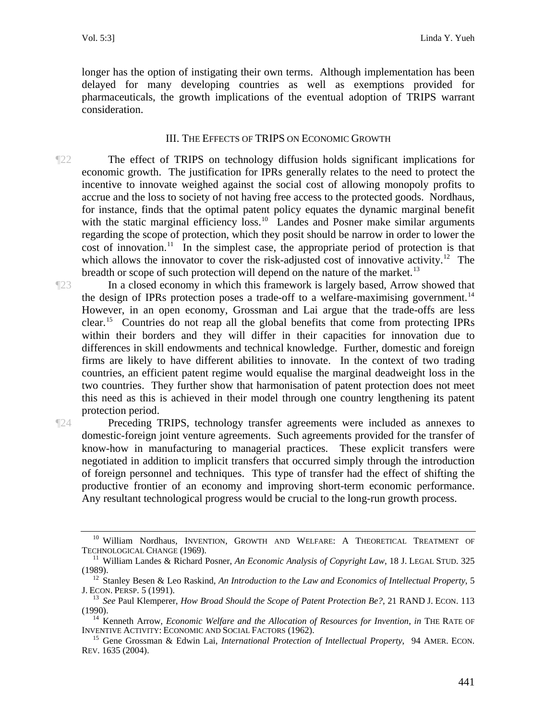longer has the option of instigating their own terms. Although implementation has been delayed for many developing countries as well as exemptions provided for pharmaceuticals, the growth implications of the eventual adoption of TRIPS warrant consideration.

#### III. THE EFFECTS OF TRIPS ON ECONOMIC GROWTH

- ¶22 The effect of TRIPS on technology diffusion holds significant implications for economic growth. The justification for IPRs generally relates to the need to protect the incentive to innovate weighed against the social cost of allowing monopoly profits to accrue and the loss to society of not having free access to the protected goods. Nordhaus, for instance, finds that the optimal patent policy equates the dynamic marginal benefit with the static marginal efficiency loss.<sup>[10](#page-7-0)</sup> Landes and Posner make similar arguments regarding the scope of protection, which they posit should be narrow in order to lower the cost of innovation.<sup>[11](#page-7-1)</sup> In the simplest case, the appropriate period of protection is that which allows the innovator to cover the risk-adjusted cost of innovative activity.<sup>[12](#page-7-2)</sup> The breadth or scope of such protection will depend on the nature of the market.<sup>[13](#page-7-3)</sup>
- ¶23 In a closed economy in which this framework is largely based, Arrow showed that the design of IPRs protection poses a trade-off to a welfare-maximising government.<sup>14</sup> However, in an open economy, Grossman and Lai argue that the trade-offs are less clear.[15](#page-7-5) Countries do not reap all the global benefits that come from protecting IPRs within their borders and they will differ in their capacities for innovation due to differences in skill endowments and technical knowledge. Further, domestic and foreign firms are likely to have different abilities to innovate. In the context of two trading countries, an efficient patent regime would equalise the marginal deadweight loss in the two countries. They further show that harmonisation of patent protection does not meet this need as this is achieved in their model through one country lengthening its patent protection period.

¶24 Preceding TRIPS, technology transfer agreements were included as annexes to domestic-foreign joint venture agreements. Such agreements provided for the transfer of know-how in manufacturing to managerial practices. These explicit transfers were negotiated in addition to implicit transfers that occurred simply through the introduction of foreign personnel and techniques. This type of transfer had the effect of shifting the productive frontier of an economy and improving short-term economic performance. Any resultant technological progress would be crucial to the long-run growth process.

<span id="page-7-0"></span> $^{10}$  William Nordhaus, INVENTION, GROWTH AND WELFARE: A THEORETICAL TREATMENT OF TECHNOLOGICAL CHANGE (1969).

<span id="page-7-1"></span><sup>&</sup>lt;sup>11</sup> William Landes & Richard Posner, *An Economic Analysis of Copyright Law*, 18 J. LEGAL STUD. 325

<span id="page-7-2"></span><sup>(1989).&</sup>lt;br><sup>12</sup> Stanley Besen & Leo Raskind, *An Introduction to the Law and Economics of Intellectual Property*, 5<br>J. ECON. PERSP. 5 (1991).

<sup>&</sup>lt;sup>13</sup> See Paul Klemperer, *How Broad Should the Scope of Patent Protection Be?*, 21 RAND J. ECON. 113

<span id="page-7-4"></span><span id="page-7-3"></span><sup>(1990). 14</sup> Kenneth Arrow, *Economic Welfare and the Allocation of Resources for Invention*, *in* THE RATE OF

<span id="page-7-5"></span><sup>&</sup>lt;sup>15</sup> Gene Grossman & Edwin Lai, *International Protection of Intellectual Property*, 94 AMER. ECON. REV. 1635 (2004).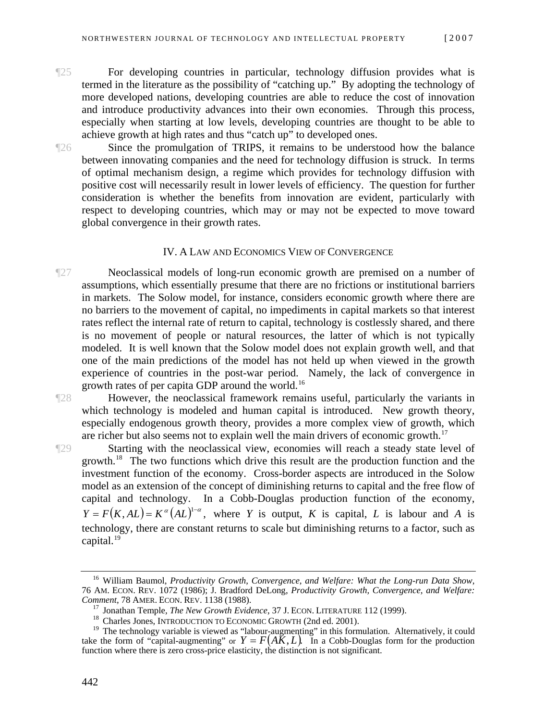- ¶25 For developing countries in particular, technology diffusion provides what is termed in the literature as the possibility of "catching up." By adopting the technology of more developed nations, developing countries are able to reduce the cost of innovation and introduce productivity advances into their own economies. Through this process, especially when starting at low levels, developing countries are thought to be able to achieve growth at high rates and thus "catch up" to developed ones.
- 

¶26 Since the promulgation of TRIPS, it remains to be understood how the balance between innovating companies and the need for technology diffusion is struck. In terms of optimal mechanism design, a regime which provides for technology diffusion with positive cost will necessarily result in lower levels of efficiency. The question for further consideration is whether the benefits from innovation are evident, particularly with respect to developing countries, which may or may not be expected to move toward global convergence in their growth rates.

#### IV. A LAW AND ECONOMICS VIEW OF CONVERGENCE

¶27 Neoclassical models of long-run economic growth are premised on a number of assumptions, which essentially presume that there are no frictions or institutional barriers in markets. The Solow model, for instance, considers economic growth where there are no barriers to the movement of capital, no impediments in capital markets so that interest rates reflect the internal rate of return to capital, technology is costlessly shared, and there is no movement of people or natural resources, the latter of which is not typically modeled. It is well known that the Solow model does not explain growth well, and that one of the main predictions of the model has not held up when viewed in the growth experience of countries in the post-war period. Namely, the lack of convergence in growth rates of per capita GDP around the world. [16](#page-8-0)

¶28 However, the neoclassical framework remains useful, particularly the variants in which technology is modeled and human capital is introduced. New growth theory, especially endogenous growth theory, provides a more complex view of growth, which are richer but also seems not to explain well the main drivers of economic growth.<sup>[17](#page-8-1)</sup>

¶29 Starting with the neoclassical view, economies will reach a steady state level of growth.<sup>[18](#page-8-2)</sup> The two functions which drive this result are the production function and the investment function of the economy. Cross-border aspects are introduced in the Solow model as an extension of the concept of diminishing returns to capital and the free flow of capital and technology. In a Cobb-Douglas production function of the economy,  $Y = F(K, AL) = K^{\alpha}(AL)^{1-\alpha}$ , where *Y* is output, *K* is capital, *L* is labour and *A* is technology, there are constant returns to scale but diminishing returns to a factor, such as capital.<sup>[19](#page-8-3)</sup>

<span id="page-8-0"></span><sup>16</sup> William Baumol, *Productivity Growth*, *Convergence, and Welfare: What the Long-run Data Show*, 76 AM. ECON. REV. 1072 (1986); J. Bradford DeLong, *Productivity Growth, Convergence, and Welfare:* 

<sup>&</sup>lt;sup>17</sup> Jonathan Temple, *The New Growth Evidence*, 37 J. ECON. LITERATURE 112 (1999).<br><sup>18</sup> Charles Jones, INTRODUCTION TO ECONOMIC GROWTH (2nd ed. 2001).

<span id="page-8-3"></span><span id="page-8-2"></span><span id="page-8-1"></span><sup>&</sup>lt;sup>19</sup> The technology variable is viewed as "labour-augmenting" in this formulation. Alternatively, it could take the form of "capital-augmenting" or  $Y = F(A\breve{K}, L)$ . In a Cobb-Douglas form for the production function where there is zero cross-price elasticity, the distinction is not significant.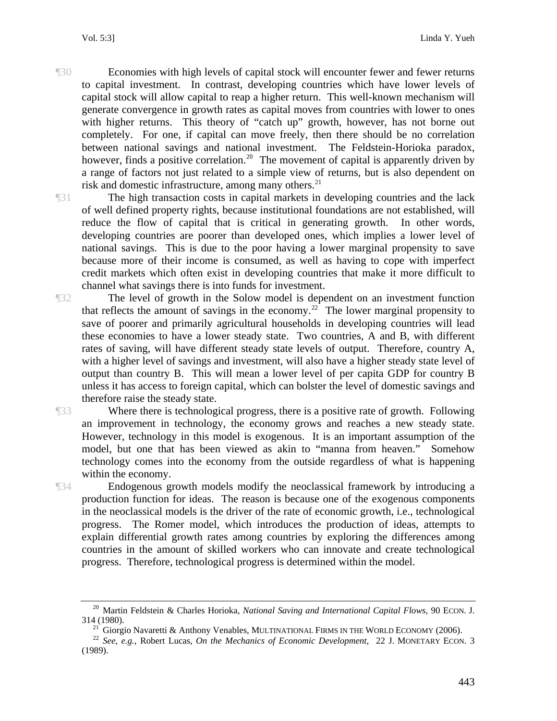- ¶30 Economies with high levels of capital stock will encounter fewer and fewer returns to capital investment. In contrast, developing countries which have lower levels of capital stock will allow capital to reap a higher return. This well-known mechanism will generate convergence in growth rates as capital moves from countries with lower to ones with higher returns. This theory of "catch up" growth, however, has not borne out completely. For one, if capital can move freely, then there should be no correlation between national savings and national investment. The Feldstein-Horioka paradox, however, finds a positive correlation.<sup>[20](#page-9-0)</sup> The movement of capital is apparently driven by a range of factors not just related to a simple view of returns, but is also dependent on risk and domestic infrastructure, among many others. $^{21}$
- ¶31 The high transaction costs in capital markets in developing countries and the lack of well defined property rights, because institutional foundations are not established, will reduce the flow of capital that is critical in generating growth. In other words, developing countries are poorer than developed ones, which implies a lower level of national savings. This is due to the poor having a lower marginal propensity to save because more of their income is consumed, as well as having to cope with imperfect credit markets which often exist in developing countries that make it more difficult to channel what savings there is into funds for investment.
- ¶32 The level of growth in the Solow model is dependent on an investment function that reflects the amount of savings in the economy.<sup>[22](#page-9-2)</sup> The lower marginal propensity to save of poorer and primarily agricultural households in developing countries will lead these economies to have a lower steady state. Two countries, A and B, with different rates of saving, will have different steady state levels of output. Therefore, country A, with a higher level of savings and investment, will also have a higher steady state level of output than country B. This will mean a lower level of per capita GDP for country B unless it has access to foreign capital, which can bolster the level of domestic savings and therefore raise the steady state.

¶33 Where there is technological progress, there is a positive rate of growth. Following an improvement in technology, the economy grows and reaches a new steady state. However, technology in this model is exogenous. It is an important assumption of the model, but one that has been viewed as akin to "manna from heaven." Somehow technology comes into the economy from the outside regardless of what is happening within the economy.

¶34 Endogenous growth models modify the neoclassical framework by introducing a production function for ideas. The reason is because one of the exogenous components in the neoclassical models is the driver of the rate of economic growth, i.e., technological progress. The Romer model, which introduces the production of ideas, attempts to explain differential growth rates among countries by exploring the differences among countries in the amount of skilled workers who can innovate and create technological progress. Therefore, technological progress is determined within the model.

<sup>&</sup>lt;sup>20</sup> Martin Feldstein & Charles Horioka, *National Saving and International Capital Flows*, 90 ECON. J. 314 (1980).

<span id="page-9-2"></span><span id="page-9-1"></span><span id="page-9-0"></span><sup>&</sup>lt;sup>21</sup> Giorgio Navaretti & Anthony Venables, MULTINATIONAL FIRMS IN THE WORLD ECONOMY (2006).<br><sup>22</sup> *See*, *e.g.*, Robert Lucas, *On the Mechanics of Economic Development*, 22 J. MONETARY ECON. 3 (1989).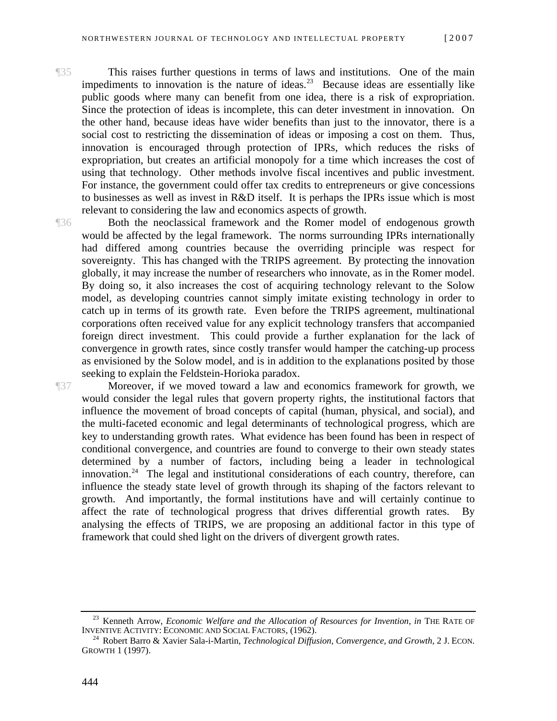¶35 This raises further questions in terms of laws and institutions. One of the main impediments to innovation is the nature of ideas.<sup>[23](#page-10-0)</sup> Because ideas are essentially like public goods where many can benefit from one idea, there is a risk of expropriation. Since the protection of ideas is incomplete, this can deter investment in innovation. On the other hand, because ideas have wider benefits than just to the innovator, there is a social cost to restricting the dissemination of ideas or imposing a cost on them. Thus, innovation is encouraged through protection of IPRs, which reduces the risks of expropriation, but creates an artificial monopoly for a time which increases the cost of using that technology. Other methods involve fiscal incentives and public investment. For instance, the government could offer tax credits to entrepreneurs or give concessions to businesses as well as invest in R&D itself. It is perhaps the IPRs issue which is most relevant to considering the law and economics aspects of growth.

¶36 Both the neoclassical framework and the Romer model of endogenous growth would be affected by the legal framework. The norms surrounding IPRs internationally had differed among countries because the overriding principle was respect for sovereignty. This has changed with the TRIPS agreement. By protecting the innovation globally, it may increase the number of researchers who innovate, as in the Romer model. By doing so, it also increases the cost of acquiring technology relevant to the Solow model, as developing countries cannot simply imitate existing technology in order to catch up in terms of its growth rate. Even before the TRIPS agreement, multinational corporations often received value for any explicit technology transfers that accompanied foreign direct investment. This could provide a further explanation for the lack of convergence in growth rates, since costly transfer would hamper the catching-up process as envisioned by the Solow model, and is in addition to the explanations posited by those seeking to explain the Feldstein-Horioka paradox.

¶37 Moreover, if we moved toward a law and economics framework for growth, we would consider the legal rules that govern property rights, the institutional factors that influence the movement of broad concepts of capital (human, physical, and social), and the multi-faceted economic and legal determinants of technological progress, which are key to understanding growth rates. What evidence has been found has been in respect of conditional convergence, and countries are found to converge to their own steady states determined by a number of factors, including being a leader in technological innovation.<sup>[24](#page-10-1)</sup> The legal and institutional considerations of each country, therefore, can influence the steady state level of growth through its shaping of the factors relevant to growth. And importantly, the formal institutions have and will certainly continue to affect the rate of technological progress that drives differential growth rates. By analysing the effects of TRIPS, we are proposing an additional factor in this type of framework that could shed light on the drivers of divergent growth rates.

<span id="page-10-0"></span><sup>&</sup>lt;sup>23</sup> Kenneth Arrow, *Economic Welfare and the Allocation of Resources for Invention*, *in* THE RATE OF INVENTIVE ACTIVITY: ECONOMIC AND SOCIAL FACTORS, (1962).

<span id="page-10-1"></span><sup>&</sup>lt;sup>24</sup> Robert Barro & Xavier Sala-i-Martin, *Technological Diffusion, Convergence, and Growth*, 2 J. ECON. GROWTH 1 (1997).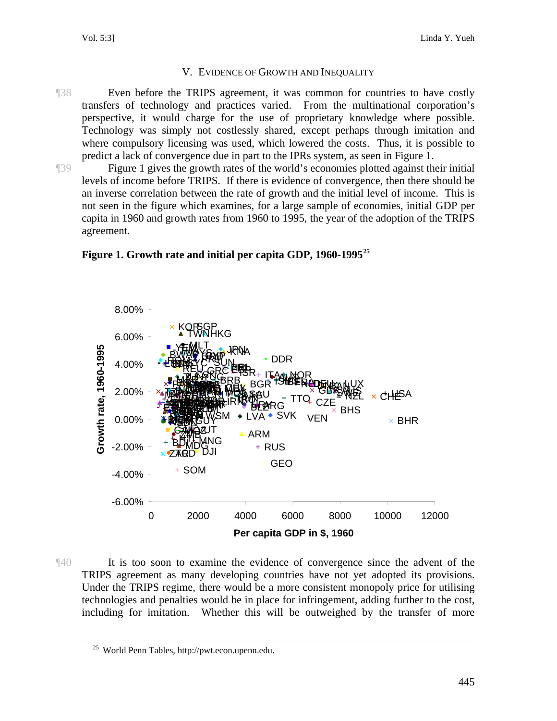#### V. EVIDENCE OF GROWTH AND INEQUALITY

¶38 Even before the TRIPS agreement, it was common for countries to have costly transfers of technology and practices varied. From the multinational corporation's perspective, it would charge for the use of proprietary knowledge where possible. Technology was simply not costlessly shared, except perhaps through imitation and where compulsory licensing was used, which lowered the costs. Thus, it is possible to predict a lack of convergence due in part to the IPRs system, as seen in Figure 1.

¶39 Figure 1 gives the growth rates of the world's economies plotted against their initial levels of income before TRIPS. If there is evidence of convergence, then there should be an inverse correlation between the rate of growth and the initial level of income. This is not seen in the figure which examines, for a large sample of economies, initial GDP per capita in 1960 and growth rates from 1960 to 1995, the year of the adoption of the TRIPS agreement.



**Figure 1. Growth rate and initial per capita GDP, 1960-1995[25](#page-11-0)**

¶40 It is too soon to examine the evidence of convergence since the advent of the TRIPS agreement as many developing countries have not yet adopted its provisions. Under the TRIPS regime, there would be a more consistent monopoly price for utilising technologies and penalties would be in place for infringement, adding further to the cost, including for imitation. Whether this will be outweighed by the transfer of more

<span id="page-11-0"></span><sup>25</sup> World Penn Tables, http://pwt.econ.upenn.edu.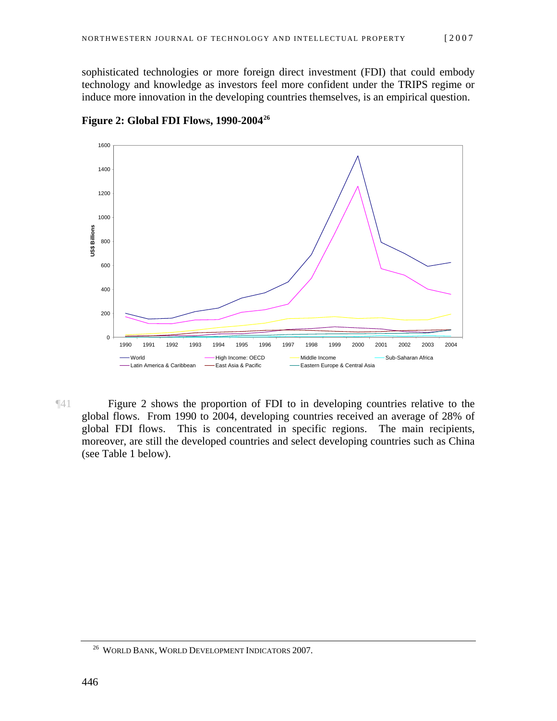sophisticated technologies or more foreign direct investment (FDI) that could embody technology and knowledge as investors feel more confident under the TRIPS regime or induce more innovation in the developing countries themselves, is an empirical question.



**Figure 2: Global FDI Flows, 1990-2004[26](#page-12-0)**

¶41 Figure 2 shows the proportion of FDI to in developing countries relative to the global flows. From 1990 to 2004, developing countries received an average of 28% of global FDI flows. This is concentrated in specific regions. The main recipients, moreover, are still the developed countries and select developing countries such as China (see Table 1 below).

<span id="page-12-0"></span><sup>26</sup> WORLD BANK, WORLD DEVELOPMENT INDICATORS 2007.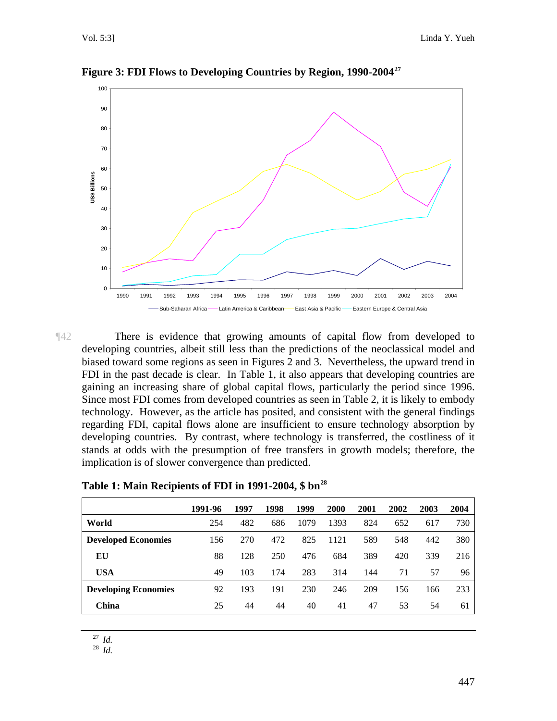

**Figure 3: FDI Flows to Developing Countries by Region, 1990-2004[27](#page-13-0)**

¶42 There is evidence that growing amounts of capital flow from developed to developing countries, albeit still less than the predictions of the neoclassical model and biased toward some regions as seen in Figures 2 and 3. Nevertheless, the upward trend in FDI in the past decade is clear. In Table 1, it also appears that developing countries are gaining an increasing share of global capital flows, particularly the period since 1996. Since most FDI comes from developed countries as seen in Table 2, it is likely to embody technology. However, as the article has posited, and consistent with the general findings regarding FDI, capital flows alone are insufficient to ensure technology absorption by developing countries. By contrast, where technology is transferred, the costliness of it stands at odds with the presumption of free transfers in growth models; therefore, the implication is of slower convergence than predicted.

Table 1: Main Recipients of FDI in 1991-2004, \$ bn<sup>28</sup>

<span id="page-13-1"></span><span id="page-13-0"></span>

|                             | 1991-96 | 1997 | 1998 | 1999 | 2000 | 2001 | 2002 | 2003 | 2004 |
|-----------------------------|---------|------|------|------|------|------|------|------|------|
| World                       | 254     | 482  | 686  | 1079 | 1393 | 824  | 652  | 617  | 730  |
| <b>Developed Economies</b>  | 156     | 270  | 472  | 825  | 1121 | 589  | 548  | 442  | 380  |
| EU                          | 88      | 128  | 250  | 476  | 684  | 389  | 420  | 339  | 216  |
| <b>USA</b>                  | 49      | 103  | 174  | 283  | 314  | 144  | 71   | 57   | 96   |
| <b>Developing Economies</b> | 92      | 193  | 191  | 230  | 246  | 209  | 156  | 166  | 233  |
| China                       | 25      | 44   | 44   | 40   | 41   | 47   | 53   | 54   | 61   |